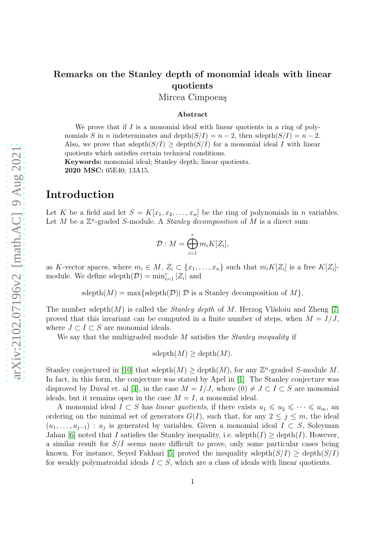# Remarks on the Stanley depth of monomial ideals with linear quotients

Mircea Cimpoeas

#### Abstract

We prove that if  $I$  is a monomial ideal with linear quotients in a ring of polynomials S in n indeterminates and depth $(S/I) = n - 2$ , then sdepth $(S/I) = n - 2$ . Also, we prove that sdepth $(S/I) \geq$  depth $(S/I)$  for a monomial ideal I with linear quotients which satisfies certain technical conditions.

Keywords: monomial ideal; Stanley depth; linear quotients. 2020 MSC: 05E40; 13A15.

## Introduction

Let K be a field and let  $S = K[x_1, x_2, \ldots, x_n]$  be the ring of polynomials in n variables. Let  $M$  be a  $\mathbb{Z}^n$ -graded S-module. A *Stanley decomposition* of  $M$  is a direct sum

$$
\mathcal{D}: M=\bigoplus_{i=1}^r m_i K[Z_i],
$$

as K-vector spaces, where  $m_i \in M$ ,  $Z_i \subset \{x_1, \ldots, x_n\}$  such that  $m_i K[Z_i]$  is a free  $K[Z_i]$ module. We define sdepth $(\mathcal{D}) = \min_{i=1}^r |Z_i|$  and

 $sdepth(M) = max\{sdepth(D) | D \text{ is a Stanley decomposition of } M \}.$ 

The number sdepth $(M)$  is called the *Stanley depth* of M. Herzog Vlădoiu and Zheng [\[7\]](#page-7-0) proved that this invariant can be computed in a finite number of steps, when  $M = I/J$ , where  $J \subset I \subset S$  are monomial ideals.

We say that the multigraded module M satisfies the *Stanley inequality* if

 $sdepth(M) > depth(M).$ 

Stanley conjectured in [\[10\]](#page-7-1) that sdepth $(M) \geq$  depth $(M)$ , for any  $\mathbb{Z}^n$ -graded S-module M. In fact, in this form, the conjecture was stated by Apel in [\[1\]](#page-6-0). The Stanley conjecture was disproved by Duval et. al [\[4\]](#page-6-1), in the case  $M = I/J$ , where  $(0) \neq J \subset I \subset S$  are monomial ideals, but it remains open in the case  $M = I$ , a monomial ideal.

A monomial ideal  $I \subset S$  has *linear quotients*, if there exists  $u_1 \leq u_2 \leq \cdots \leq u_m$ , an ordering on the minimal set of generators  $G(I)$ , such that, for any  $2 \leq j \leq m$ , the ideal  $(u_1, \ldots, u_{j-1}) : u_j$  is generated by variables. Given a monomial ideal  $I \subset S$ , Soleyman Jahan [\[6\]](#page-7-2) noted that I satisfies the Stanley inequality, i.e. sdepth(I)  $\geq$  depth(I). However, a similar result for  $S/I$  seems more difficult to prove, only some particular cases being known. For instance, Seyed Fakhari [\[5\]](#page-7-3) proved the inequality sdepth $(S/I) >$  depth $(S/I)$ for weakly polymatroidal ideals  $I \subset S$ , which are a class of ideals with linear quotients.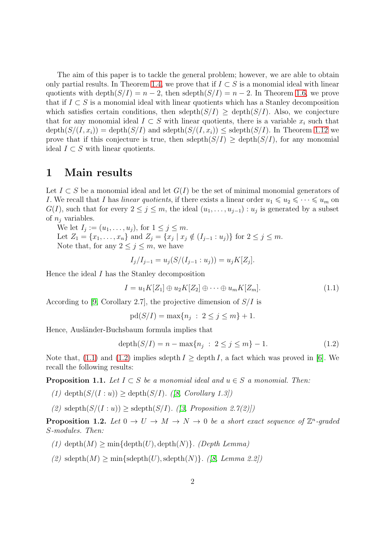The aim of this paper is to tackle the general problem; however, we are able to obtain only partial results. In Theorem [1.4,](#page-2-0) we prove that if  $I \subset S$  is a monomial ideal with linear quotients with depth $(S/I) = n - 2$ , then sdepth $(S/I) = n - 2$ . In Theorem [1.6,](#page-4-0) we prove that if  $I \subset S$  is a monomial ideal with linear quotients which has a Stanley decomposition which satisfies certain conditions, then sdepth $(S/I) \ge$  depth $(S/I)$ . Also, we conjecture that for any monomial ideal  $I \subset S$  with linear quotients, there is a variable  $x_i$  such that  $depth(S/(I, x_i)) = depth(S/I)$  and  $depth(S/(I, x_i)) \leq 4$  sdepth( $S/I$ ). In Theorem [1.12](#page-6-2) we prove that if this conjecture is true, then sdepth $(S/I) \ge$  depth $(S/I)$ , for any monomial ideal  $I \subset S$  with linear quotients.

#### 1 Main results

Let  $I \subset S$  be a monomial ideal and let  $G(I)$  be the set of minimal monomial generators of I. We recall that I has *linear quotients*, if there exists a linear order  $u_1 \leq u_2 \leq \cdots \leq u_m$  on  $G(I)$ , such that for every  $2 \leq j \leq m$ , the ideal  $(u_1, \ldots, u_{j-1}) : u_j$  is generated by a subset of  $n_i$  variables.

We let  $I_j := (u_1, \ldots, u_j)$ , for  $1 \leq j \leq m$ .

Let  $Z_1 = \{x_1, \ldots, x_n\}$  and  $Z_j = \{x_j | x_j \notin (I_{j-1} : u_j)\}$  for  $2 \le j \le m$ . Note that, for any  $2 \leq j \leq m$ , we have

$$
I_j/I_{j-1} = u_j(S/(I_{j-1} : u_j)) = u_j K[Z_j].
$$

Hence the ideal I has the Stanley decomposition

<span id="page-1-0"></span>
$$
I = u_1 K[Z_1] \oplus u_2 K[Z_2] \oplus \cdots \oplus u_m K[Z_m]. \tag{1.1}
$$

According to [\[9,](#page-7-4) Corollary 2.7], the projective dimension of  $S/I$  is

 $pd(S/I) = max\{n_j : 2 \le j \le m\} + 1.$ 

Hence, Ausländer-Buchsbaum formula implies that

<span id="page-1-1"></span>
$$
depth(S/I) = n - max\{n_j : 2 \le j \le m\} - 1.
$$
\n(1.2)

Note that, [\(1.1\)](#page-1-0) and [\(1.2\)](#page-1-1) implies sdepth  $I \geq$  depth I, a fact which was proved in [\[6\]](#page-7-2). We recall the following results:

**Proposition 1.1.** *Let*  $I \subset S$  *be a monomial ideal and*  $u \in S$  *a monomial. Then:* 

- (1) depth $(S/(I:u)) \geq$  depth $(S/I)$ *.* (*[\[8,](#page-7-5) Corollary 1.3]*)
- (2)  $\text{sdepth}(S/(I:u)) > \text{sdepth}(S/I)$ *.* ([\[3,](#page-6-3) Proposition 2.7(2)])

**Proposition 1.2.** Let  $0 \to U \to M \to N \to 0$  be a short exact sequence of  $\mathbb{Z}^n$ -graded S*-modules. Then:*

- (1) depth $(M)$  > min{depth $(U)$ , depth $(N)$ *}. (Depth Lemma)*
- $(2)$  sdepth $(M) \ge \min\{\text{sdepth}(U), \text{sdepth}(N)\}\$ . (*[\[8,](#page-7-5) Lemma 2.2]*)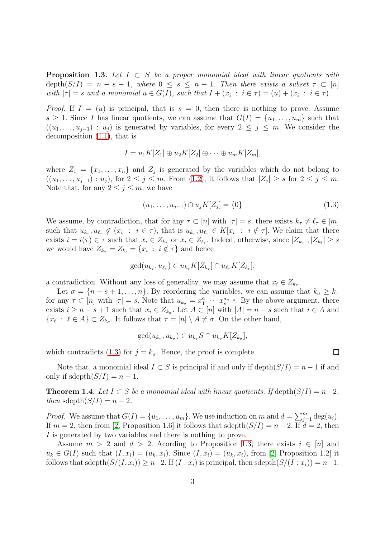<span id="page-2-2"></span>Proposition 1.3. *Let* I ⊂ S *be a proper monomial ideal with linear quotients with*  $depth(S/I) = n - s - 1$ , where  $0 \leq s \leq n - 1$ . Then there exists a subset  $\tau \subset [n]$ *with*  $|\tau| = s$  *and a monomial*  $u \in G(I)$ *, such that*  $I + (x_i : i \in \tau) = (u) + (x_i : i \in \tau)$ *.* 

*Proof.* If  $I = (u)$  is principal, that is  $s = 0$ , then there is nothing to prove. Assume  $s \geq 1$ . Since I has linear quotients, we can assume that  $G(I) = \{u_1, \ldots, u_m\}$  such that  $((u_1, \ldots, u_{i-1}) : u_i)$  is generated by variables, for every  $2 \leq j \leq m$ . We consider the decomposition [\(1.1\)](#page-1-0), that is

$$
I = u_1 K[Z_1] \oplus u_2 K[Z_2] \oplus \cdots \oplus u_m K[Z_m],
$$

where  $Z_1 = \{x_1, \ldots, x_n\}$  and  $Z_j$  is generated by the variables which do not belong to  $((u_1, \ldots, u_{j-1}): u_j)$ , for  $2 \leq j \leq m$ . From  $(1.2)$ , it follows that  $|Z_j| \geq s$  for  $2 \leq j \leq m$ . Note that, for any  $2 \leq j \leq m$ , we have

<span id="page-2-1"></span>
$$
(u_1, \ldots, u_{j-1}) \cap u_j K[Z_j] = \{0\} \tag{1.3}
$$

 $\Box$ 

We assume, by contradiction, that for any  $\tau \subset [n]$  with  $|\tau| = s$ , there exists  $k_{\tau} \neq \ell_{\tau} \in [m]$ such that  $u_{k_{\tau}}, u_{\ell_{\tau}} \notin (x_i : i \in \tau)$ , that is  $u_{k_{\tau}}, u_{\ell_{\tau}} \in K[x_i : i \notin \tau]$ . We claim that there exists  $i = i(\tau) \in \tau$  such that  $x_i \in Z_{k_{\tau}}$  or  $x_i \in Z_{\ell_{\tau}}$ . Indeed, otherwise, since  $|Z_{k_{\tau}}|, |Z_{k_{\ell}}| \geq s$ we would have  $Z_{k_{\tau}} = Z_{k_{\ell}} = \{x_i : i \notin \tau\}$  and hence

$$
\gcd(u_{k_{\tau}}, u_{\ell_{\tau}}) \in u_{k_{\tau}}K[Z_{k_{\tau}}] \cap u_{\ell_{\tau}}K[Z_{\ell_{\tau}}],
$$

a contradiction. Without any loss of generality, we may assume that  $x_i \in Z_{k_\tau}$ .

Let  $\sigma = \{n - s + 1, \ldots, n\}$ . By reordering the variables, we can assume that  $k_{\sigma} \geq k_{\tau}$ for any  $\tau \subset [n]$  with  $|\tau| = s$ . Note that  $u_{k_{\sigma}} = x_1^{a_1}$  $x_1^{a_1} \cdots x_s^{a_{n-s}}$ . By the above argument, there exists  $i \geq n - s + 1$  such that  $x_i \in Z_{k_\sigma}$ . Let  $A \subset [n]$  with  $|A| = n - s$  such that  $i \in A$  and  $\{x_{\ell} : \ell \in A\} \subset Z_{k_{\sigma}}$ . It follows that  $\tau = [n] \setminus A \neq \sigma$ . On the other hand,

$$
\gcd(u_{k_{\tau}}, u_{k_{\sigma}}) \in u_{k_{\tau}} S \cap u_{k_{\sigma}} K[Z_{k_{\sigma}}],
$$

which contradicts [\(1.3\)](#page-2-1) for  $j = k_{\sigma}$ . Hence, the proof is complete.

Note that, a monomial ideal  $I \subset S$  is principal if and only if depth $(S/I) = n - 1$  if and only if  $sdepth(S/I) = n - 1$ .

<span id="page-2-0"></span>**Theorem 1.4.** Let  $I \subset S$  be a monomial ideal with linear quotients. If depth $(S/I) = n-2$ , *then* sdepth $(S/I) = n - 2$ .

*Proof.* We assume that  $G(I) = \{u_1, \ldots, u_m\}$ . We use induction on m and  $d = \sum_{j=1}^m \deg(u_i)$ . If  $m = 2$ , then from [\[2,](#page-6-4) Proposition 1.6] it follows that sdepth $(S/I) = n - 2$ . If  $d = 2$ , then I is generated by two variables and there is nothing to prove.

Assume  $m > 2$  and  $d > 2$ . Acording to Proposition [1.3,](#page-2-2) there exists  $i \in [n]$  and  $u_k \in G(I)$  such that  $(I, x_i) = (u_k, x_i)$ . Since  $(I, x_i) = (u_k, x_i)$ , from [\[2,](#page-6-4) Proposition 1.2] it follows that sdepth $(S/(I, x_i)) \geq n-2$ . If  $(I : x_i)$  is principal, then sdepth $(S/(I : x_i)) = n-1$ .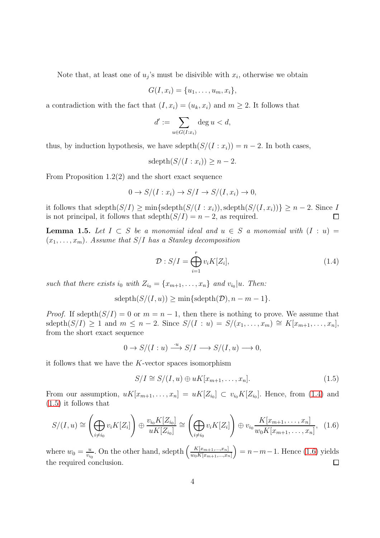Note that, at least one of  $u_j$ 's must be disivible with  $x_i$ , otherwise we obtain

$$
G(I, x_i) = \{u_1, \ldots, u_m, x_i\},\
$$

a contradiction with the fact that  $(I, x_i) = (u_k, x_i)$  and  $m \geq 2$ . It follows that

$$
d' := \sum_{u \in G(I:x_i)} \deg u < d,
$$

thus, by induction hypothesis, we have sdepth $(S/(I : x_i)) = n - 2$ . In both cases,

$$
sdepth(S/(I:x_i)) \geq n-2.
$$

From Proposition 1.2(2) and the short exact sequence

$$
0 \to S/(I:x_i) \to S/I \to S/(I,x_i) \to 0,
$$

it follows that sdepth $(S/I) \ge \min\{\text{sdepth}(S/(I : x_i)), \text{sdepth}(S/(I, x_i))\} \ge n-2$ . Since I is not principal, it follows that sdepth $(S/I) = n - 2$ , as required.  $\Box$ 

<span id="page-3-3"></span>**Lemma 1.5.** Let  $I \subset S$  be a monomial ideal and  $u \in S$  a monomial with  $(I : u) =$  $(x_1, \ldots, x_m)$ . Assume that  $S/I$  has a Stanley decomposition

<span id="page-3-0"></span>
$$
\mathcal{D}: S/I = \bigoplus_{i=1}^{r} v_i K[Z_i], \qquad (1.4)
$$

such that there exists  $i_0$  with  $Z_{i_0} = \{x_{m+1}, \ldots, x_n\}$  and  $v_{i_0} | u$ . Then:

 $sdepth(S/(I, u)) > min\{sdepth(\mathcal{D}), n-m-1\}.$ 

*Proof.* If sdepth $(S/I) = 0$  or  $m = n - 1$ , then there is nothing to prove. We assume that sdepth $(S/I) \geq 1$  and  $m \leq n-2$ . Since  $S/(I:u) = S/(x_1,\ldots,x_m) \cong K[x_{m+1},\ldots,x_n],$ from the short exact sequence

$$
0 \to S/(I:u) \xrightarrow{\cdot u} S/I \longrightarrow S/(I,u) \longrightarrow 0,
$$

it follows that we have the  $K$ -vector spaces isomorphism

<span id="page-3-1"></span>
$$
S/I \cong S/(I, u) \oplus uK[x_{m+1}, \dots, x_n].
$$
\n
$$
(1.5)
$$

From our assumption,  $uK[x_{m+1},...,x_n] = uK[Z_{i_0}] \subset v_{i_0}K[Z_{i_0}]$ . Hence, from [\(1.4\)](#page-3-0) and [\(1.5\)](#page-3-1) it follows that

<span id="page-3-2"></span>
$$
S/(I, u) \cong \left(\bigoplus_{i \neq i_0} v_i K[Z_i] \right) \oplus \frac{v_{i_0} K[Z_{i_0}]}{u K[Z_{i_0}]} \cong \left(\bigoplus_{i \neq i_0} v_i K[Z_i] \right) \oplus v_{i_0} \frac{K[x_{m+1}, \dots, x_n]}{w_0 K[x_{m+1}, \dots, x_n]}, \quad (1.6)
$$

 $\frac{u}{v_{i_0}}$ . On the other hand, sdepth  $\left(\frac{K[x_{m+1},...,x_n]}{w_0K[x_{m+1},...,x_n]}\right)$  $\left(\frac{K[x_{m+1},...,x_n]}{x_0K[x_{m+1},...,x_n]}\right) = n-m-1$ . Hence [\(1.6\)](#page-3-2) yields where  $w_0 = \frac{u}{v_{ii}}$ the required conclusion.  $\Box$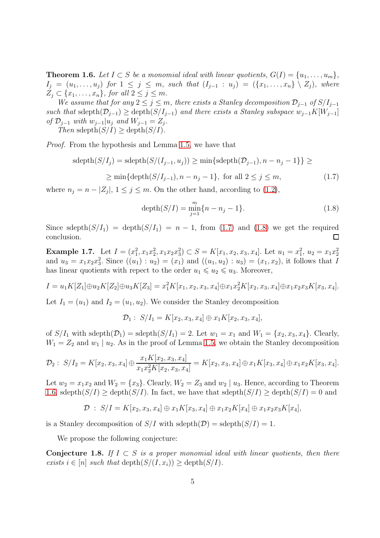<span id="page-4-0"></span>Theorem 1.6. Let  $I \subset S$  be a monomial ideal with linear quotients,  $G(I) = \{u_1, \ldots, u_m\},\$  $I_j = (u_1, \ldots, u_j)$  *for*  $1 \leq j \leq m$ *, such that*  $(I_{j-1} : u_j) = (\{x_1, \ldots, x_n\} \setminus Z_j)$ *, where*  $Z_j \subset \{x_1, \ldots, x_n\}$ , for all  $2 \leq j \leq m$ .

*We assume that for any*  $2 \leq j \leq m$ , there exists a Stanley decomposition  $\mathcal{D}_{j-1}$  *of*  $S/I_{j-1}$ *such that* sdepth $(\mathcal{D}_{j-1})$  ≥ depth $(S/I_{j-1})$  *and there exists a Stanley subspace*  $w_{j-1}K[W_{j-1}]$ *of*  $\mathcal{D}_{j-1}$  *with*  $w_{j-1}|u_j$  *and*  $W_{j-1} = Z_j$ *.* 

*Then* sdepth $(S/I) >$  depth $(S/I)$ .

*Proof.* From the hypothesis and Lemma [1.5,](#page-3-3) we have that

<span id="page-4-1"></span>
$$
sdepth(S/I_j) = sdepth(S/(I_{j-1}, u_j)) \ge \min\{sdepth(\mathcal{D}_{j-1}), n - n_j - 1\}\} \ge
$$
  

$$
\ge \min\{depth(S/I_{j-1}), n - n_j - 1\}, \text{ for all } 2 \le j \le m,
$$
 (1.7)

where  $n_j = n - |Z_j|$ ,  $1 \le j \le m$ . On the other hand, according to [\(1.2\)](#page-1-1),

<span id="page-4-2"></span>
$$
depth(S/I) = \min_{j=1}^{m} \{n - n_j - 1\}.
$$
\n(1.8)

Since sdepth $(S/I_1) = \text{depth}(S/I_1) = n - 1$ , from [\(1.7\)](#page-4-1) and [\(1.8\)](#page-4-2) we get the required conclusion. П

Example 1.7. Let  $I = (x_1^2, x_1x_2^2, x_1x_2x_3^2) \subset S = K[x_1, x_2, x_3, x_4]$ . Let  $u_1 = x_1^2$ ,  $u_2 = x_1x_2^2$ and  $u_3 = x_1x_2x_3^2$ . Since  $((u_1) : u_2) = (x_1)$  and  $((u_1, u_2) : u_3) = (x_1, x_2)$ , it follows that I has linear quotients with repect to the order  $u_1 \leq u_2 \leq u_3$ . Moreover,

$$
I = u_1 K[Z_1] \oplus u_2 K[Z_2] \oplus u_3 K[Z_3] = x_1^2 K[x_1, x_2, x_3, x_4] \oplus x_1 x_2^2 K[x_2, x_3, x_4] \oplus x_1 x_2 x_3 K[x_3, x_4].
$$

Let  $I_1 = (u_1)$  and  $I_2 = (u_1, u_2)$ . We consider the Stanley decomposition

$$
\mathcal{D}_1: S/I_1 = K[x_2, x_3, x_4] \oplus x_1 K[x_2, x_3, x_4],
$$

of  $S/I_1$  with sdepth $(\mathcal{D}_1)$  = sdepth $(S/I_1)$  = 2. Let  $w_1 = x_1$  and  $W_1 = \{x_2, x_3, x_4\}$ . Clearly,  $W_1 = Z_2$  and  $w_1 | u_2$ . As in the proof of Lemma [1.5,](#page-3-3) we obtain the Stanley decomposition

$$
\mathcal{D}_2: S/I_2 = K[x_2, x_3, x_4] \oplus \frac{x_1 K[x_2, x_3, x_4]}{x_1 x_2^2 K[x_2, x_3, x_4]} = K[x_2, x_3, x_4] \oplus x_1 K[x_3, x_4] \oplus x_1 x_2 K[x_3, x_4].
$$

Let  $w_2 = x_1x_2$  and  $W_2 = \{x_3\}$ . Clearly,  $W_2 = Z_3$  and  $w_2 \mid u_3$ . Hence, according to Theorem [1.6,](#page-4-0) sdepth $(S/I) \ge$  depth $(S/I)$ . In fact, we have that sdepth $(S/I) \ge$  depth $(S/I) = 0$  and

 $\mathcal{D}$  :  $S/I = K[x_2, x_3, x_4] \oplus x_1K[x_3, x_4] \oplus x_1x_2K[x_4] \oplus x_1x_2x_3K[x_4],$ 

is a Stanley decomposition of  $S/I$  with  $sdepth(\mathcal{D}) = sdepth(S/I) = 1$ .

We propose the following conjecture:

<span id="page-4-3"></span>Conjecture 1.8. If  $I \subset S$  is a proper monomial ideal with linear quotients, then there *exists*  $i \in [n]$  *such that* depth $(S/(I, x_i)) \geq$  depth $(S/I)$ *.*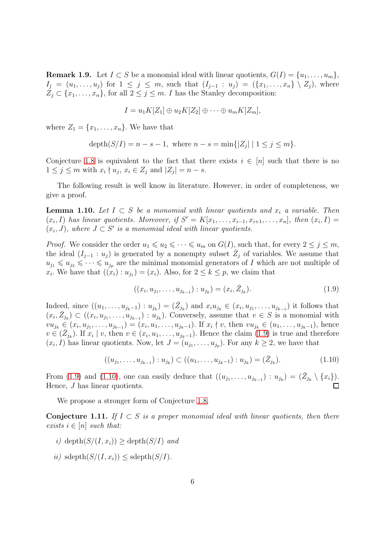**Remark 1.9.** Let  $I \subset S$  be a monomial ideal with linear quotients,  $G(I) = \{u_1, \ldots, u_m\}$ ,  $I_j = (u_1, \ldots, u_j)$  for  $1 \leq j \leq m$ , such that  $(I_{j-1} : u_j) = (\{x_1, \ldots, x_n\} \setminus Z_j)$ , where  $Z_j \subset \{x_1, \ldots, x_n\}$ , for all  $2 \leq j \leq m$ . *I* has the Stanley decomposition:

$$
I = u_1 K[Z_1] \oplus u_2 K[Z_2] \oplus \cdots \oplus u_m K[Z_m],
$$

where  $Z_1 = \{x_1, \ldots, x_n\}$ . We have that

$$
depth(S/I) = n - s - 1
$$
, where  $n - s = min\{|Z_j| | 1 \le j \le m\}$ .

Conjecture [1.8](#page-4-3) is equivalent to the fact that there exists  $i \in [n]$  such that there is no  $1 \leq j \leq m$  with  $x_i \nmid u_j, x_i \in Z_j$  and  $|Z_j| = n - s$ .

The following result is well know in literature. However, in order of completeness, we give a proof.

<span id="page-5-3"></span>**Lemma 1.10.** Let  $I \subset S$  be a monomial with linear quotients and  $x_i$  a variable. Then  $(x_i, I)$  has linear quotients. Moreover, if  $S' = K[x_1, \ldots, x_{i-1}, x_{i+1}, \ldots, x_n]$ , then  $(x_i, I) =$  $(x_i, J)$ , where  $J \subset S'$  is a monomial ideal with linear quotients.

*Proof.* We consider the order  $u_1 \leq u_2 \leq \cdots \leq u_m$  on  $G(I)$ , such that, for every  $2 \leq j \leq m$ , the ideal  $(I_{j-1} : u_j)$  is generated by a nonempty subset  $\overline{Z}_j$  of variables. We assume that  $u_{i_1} \leq u_{i_2} \leq \cdots \leq u_{i_p}$  are the minimal monomial generators of I which are not multiple of  $x_i$ . We have that  $((x_i): u_{j_1}) = (x_i)$ . Also, for  $2 \leq k \leq p$ , we claim that

<span id="page-5-0"></span>
$$
((x_i, u_{j_1}, \dots, u_{j_{k-1}}) : u_{j_k}) = (x_i, \bar{Z}_{j_k}).
$$
\n(1.9)

Indeed, since  $((u_1,\ldots,u_{j_k-1}):u_{j_k})=(\bar{Z}_{j_k})$  and  $x_iu_{j_k}\in(x_i,u_{j_1},\ldots,u_{j_{k-1}})$  it follows that  $(x_i, \bar{Z}_{j_k}) \subset ((x_i, u_{j_1}, \ldots, u_{j_{k-1}}) : u_{j_k})$ . Conversely, assume that  $v \in S$  is a monomial with  $vu_{j_k} \in (x_i, u_{j_1}, \ldots, u_{j_{k-1}}) = (x_i, u_1, \ldots, u_{j_k-1})$ . If  $x_i \nmid v$ , then  $vu_{j_k} \in (u_1, \ldots, u_{j_k-1})$ , hence  $v \in (\bar{Z}_{j_k})$ . If  $x_i \mid v$ , then  $v \in (x_i, u_1, \ldots, u_{j_k-1})$ . Hence the claim [\(1.9\)](#page-5-0) is true and therefore  $(x_i, I)$  has linear quotients. Now, let  $J = (u_{j_1}, \ldots, u_{j_p})$ . For any  $k \geq 2$ , we have that

<span id="page-5-1"></span>
$$
((u_{j_1},\ldots,u_{j_{k-1}}):u_{j_k})\subset ((u_1,\ldots,u_{j_k-1}):u_{j_k})=(\bar{Z}_{j_k}).
$$
\n(1.10)

From [\(1.9\)](#page-5-0) and [\(1.10\)](#page-5-1), one can easily deduce that  $((u_{j_1},...,u_{j_{k-1}}):u_{j_k}) = (\bar{Z}_{j_k} \setminus \{x_i\}).$ Hence, J has linear quotients.

We propose a stronger form of Conjecture [1.8.](#page-4-3)

<span id="page-5-2"></span>Conjecture 1.11. If  $I \subset S$  is a proper monomial ideal with linear quotients, then there *exists*  $i \in [n]$  *such that:* 

- $i)$  depth $(S/(I, x_i)) >$  depth $(S/I)$  *and*
- *ii*) sdepth $(S/(I, x_i))$  < sdepth $(S/I)$ .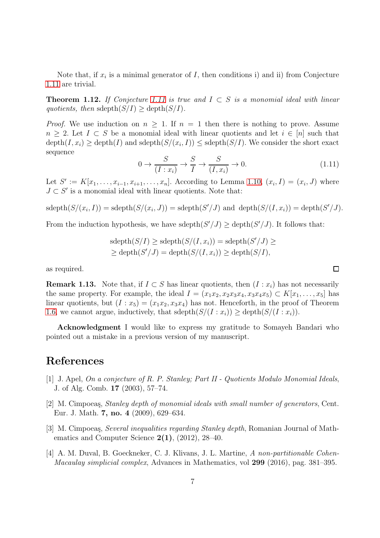Note that, if  $x_i$  is a minimal generator of  $I$ , then conditions i) and ii) from Conjecture [1.11](#page-5-2) are trivial.

<span id="page-6-2"></span>Theorem 1.12. *If Conjecture [1.11](#page-5-2) is true and* I ⊂ S *is a monomial ideal with linear quotients, then* sdepth $(S/I) >$  depth $(S/I)$ .

*Proof.* We use induction on  $n \geq 1$ . If  $n = 1$  then there is nothing to prove. Assume  $n \geq 2$ . Let  $I \subset S$  be a monomial ideal with linear quotients and let  $i \in [n]$  such that  $\text{depth}(I, x_i) \geq \text{depth}(I)$  and  $\text{sdeph}(S/(x_i, I)) \leq \text{sdeph}(S/I)$ . We consider the short exact sequence

$$
0 \to \frac{S}{(I:x_i)} \to \frac{S}{I} \to \frac{S}{(I,x_i)} \to 0. \tag{1.11}
$$

Let  $S' := K[x_1, \ldots, x_{i-1}, x_{i+1}, \ldots, x_n]$ . According to Lemma [1.10,](#page-5-3)  $(x_i, I) = (x_i, J)$  where  $J \subset S'$  is a monomial ideal with linear quotients. Note that:

$$
sdepth(S/(x_i, I)) = sdepth(S/(x_i, J)) = sdepth(S'/J)
$$
 and  $depth(S/(I, x_i)) = depth(S'/J)$ .

From the induction hypothesis, we have sdepth $(S'/J) \ge$  depth $(S'/J)$ . It follows that:

$$
sdepth(S/I) \geq sdepth(S/(I, x_i)) = sdepth(S'/J) \geq
$$
  
 
$$
\geq depth(S'/J) = depth(S/(I, x_i)) \geq depth(S/I),
$$

as required.

**Remark 1.13.** Note that, if  $I \subset S$  has linear quotients, then  $(I : x_i)$  has not necessarily the same property. For example, the ideal  $I = (x_1x_2, x_2x_3x_4, x_3x_4x_5) \subset K[x_1, \ldots, x_5]$  has linear quotients, but  $(I : x_5) = (x_1x_2, x_3x_4)$  has not. Henceforth, in the proof of Theorem [1.6,](#page-4-0) we cannot argue, inductively, that  $sdepth(S/(I:x_i)) \geq depth(S/(I:x_i))$ .

Acknowledgment I would like to express my gratitude to Somayeh Bandari who pointed out a mistake in a previous version of my manuscript.

## <span id="page-6-0"></span>References

- [1] J. Apel, *On a conjecture of R. P. Stanley; Part II Quotients Modulo Monomial Ideals*, J. of Alg. Comb. 17 (2003), 57–74.
- <span id="page-6-4"></span>[2] M. Cimpoeas, *Stanley depth of monomial ideals with small number of generators*, Cent. Eur. J. Math. 7, no. 4 (2009), 629–634.
- <span id="page-6-3"></span>[3] M. Cimpoeas, *Several inequalities regarding Stanley depth*, Romanian Journal of Mathematics and Computer Science  $2(1)$ ,  $(2012)$ ,  $28-40$ .
- <span id="page-6-1"></span>[4] A. M. Duval, B. Goeckneker, C. J. Klivans, J. L. Martine, *A non-partitionable Cohen-Macaulay simplicial complex*, Advances in Mathematics, vol 299 (2016), pag. 381–395.

 $\Box$